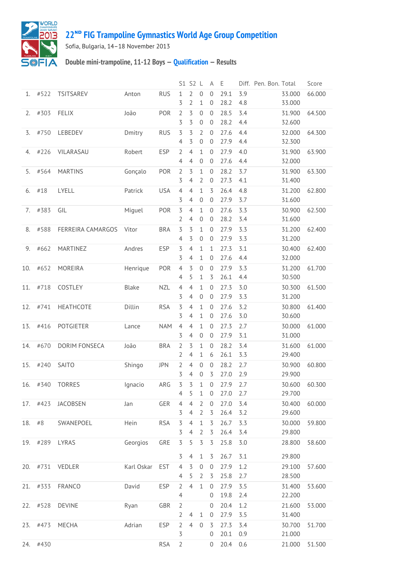

## **22ᴺᴰ [FIG Trampoline Gymnastics World Age Group Competition](http://192.168.1.7:9001/event)**

Sofia, Bulgaria, 14–18 November 2013

## **Double mini-trampoline, 11-12 Boys — [Qualification](http://192.168.1.7:9001/stage/8) — Results**

|     |          |                   |            |            |                                  | S1 S2 L                          |                                    | Α                                | Ε            |            | Diff. Pen. Bon. Total |                  | Score  |
|-----|----------|-------------------|------------|------------|----------------------------------|----------------------------------|------------------------------------|----------------------------------|--------------|------------|-----------------------|------------------|--------|
| 1.  | #522     | <b>TSITSAREV</b>  | Anton      | <b>RUS</b> | 1<br>3                           | 2<br>2                           | $\mathbf 0$<br>1                   | $\mathbf{0}$<br>$\overline{0}$   | 29.1<br>28.2 | 3.9<br>4.8 |                       | 33.000<br>33.000 | 66.000 |
| 2.  | #303     | <b>FELIX</b>      | João       | POR        | $\overline{2}$<br>3              | 3<br>3                           | $\overline{0}$<br>$\boldsymbol{0}$ | $\mathbf 0$<br>$\theta$          | 28.5<br>28.2 | 3.4<br>4.4 |                       | 31.900<br>32.600 | 64.500 |
| 3.  | #750     | LEBEDEV           | Dmitry     | <b>RUS</b> | 3<br>4                           | 3<br>3                           | 2<br>$\mathbf 0$                   | $\mathbf{0}$<br>$\mathbf 0$      | 27.6<br>27.9 | 4.4<br>4.4 |                       | 32.000<br>32.300 | 64.300 |
| 4.  | #226     | VILARASAU         | Robert     | <b>ESP</b> | 2<br>4                           | 4<br>$\overline{4}$              | 1<br>$\mathbf 0$                   | $\mathbf{0}$<br>$\mathbf 0$      | 27.9<br>27.6 | 4.0<br>4.4 |                       | 31.900<br>32.000 | 63.900 |
| 5.  | #564     | <b>MARTINS</b>    | Gonçalo    | POR        | $\overline{2}$<br>3              | 3<br>$\overline{4}$              | 1<br>2                             | $\overline{0}$<br>$\theta$       | 28.2<br>27.3 | 3.7<br>4.1 |                       | 31.900<br>31.400 | 63.300 |
| 6.  | #18      | LYELL             | Patrick    | <b>USA</b> | $\overline{4}$<br>3              | $\overline{4}$<br>4              | 1<br>$\mathbf 0$                   | 3<br>$\theta$                    | 26.4<br>27.9 | 4.8<br>3.7 |                       | 31.200<br>31.600 | 62.800 |
| 7.  | #383     | GIL               | Miguel     | POR        | 3<br>2                           | $\overline{4}$<br>4              | 1<br>0                             | $\overline{0}$<br>$\theta$       | 27.6<br>28.2 | 3.3<br>3.4 |                       | 30.900<br>31.600 | 62.500 |
| 8.  | #588     | FERREIRA CAMARGOS | Vitor      | <b>BRA</b> | 3<br>4                           | 3<br>3                           | 1<br>$\boldsymbol{0}$              | $\overline{0}$<br>$\overline{0}$ | 27.9<br>27.9 | 3.3<br>3.3 |                       | 31.200<br>31.200 | 62.400 |
| 9.  | #662     | MARTINEZ          | Andres     | <b>ESP</b> | $\overline{5}$<br>3              | $\overline{4}$<br>4              | 1<br>1                             | $\mathbf{1}$<br>$\mathbf 0$      | 27.3<br>27.6 | 3.1<br>4.4 |                       | 30.400<br>32.000 | 62.400 |
| 10. | #652     | <b>MOREIRA</b>    | Henrique   | POR        | $\overline{4}$<br>4              | 3<br>5                           | 0<br>1                             | $\mathbf 0$<br>3                 | 27.9<br>26.1 | 3.3<br>4.4 |                       | 31.200<br>30.500 | 61.700 |
| 11. | #718     | COSTLEY           | Blake      | <b>NZL</b> | $\overline{4}$<br>3              | $\overline{4}$<br>4              | 1<br>$\mathbf 0$                   | $\overline{0}$<br>$\mathbf 0$    | 27.3<br>27.9 | 3.0<br>3.3 |                       | 30.300<br>31.200 | 61.500 |
| 12. | #741     | <b>HEATHCOTE</b>  | Dillin     | <b>RSA</b> | $\overline{5}$<br>3              | $\overline{4}$<br>4              | 1<br>1                             | $\overline{0}$<br>$\mathbf 0$    | 27.6<br>27.6 | 3.2<br>3.0 |                       | 30.800<br>30.600 | 61.400 |
| 13. | #416     | <b>POTGIETER</b>  | Lance      | <b>NAM</b> | $\overline{4}$<br>3              | $\overline{4}$<br>$\overline{4}$ | $\mathbf 1$<br>$\boldsymbol{0}$    | $\mathbf 0$<br>$\mathbf 0$       | 27.3<br>27.9 | 2.7<br>3.1 |                       | 30.000<br>31.000 | 61.000 |
| 14. | #670     | DORIM FONSECA     | João       | <b>BRA</b> | $\overline{2}$<br>2              | 3<br>$\overline{4}$              | 1<br>1                             | $\overline{0}$<br>6              | 28.2<br>26.1 | 3.4<br>3.3 |                       | 31.600<br>29.400 | 61.000 |
| 15. | #240     | <b>SAITO</b>      | Shingo     | <b>JPN</b> | 2<br>3                           | $\overline{4}$<br>4              | $\mathbf 0$<br>$\mathbf 0$         | $\overline{0}$<br>3              | 28.2<br>27.0 | 2.7<br>2.9 |                       | 30.900<br>29.900 | 60.800 |
| 16. | #340     | <b>TORRES</b>     | Ignacio    | ARG        | 3<br>4                           | 3<br>5                           | 1<br>1                             | $\mathbf{0}$<br>$\overline{0}$   | 27.9<br>27.0 | 2.7<br>2.7 |                       | 30.600<br>29.700 | 60.300 |
|     | 17. #423 | JACOBSEN          | Jan        | GER        | $\overline{4}$<br>3              | $\overline{4}$<br>$\overline{4}$ | $\overline{2}$<br>2                | $\mathbf 0$<br>3                 | 27.0<br>26.4 | 3.4<br>3.2 |                       | 30.400<br>29.600 | 60.000 |
| 18. | #8       | SWANEPOEL         | Hein       | <b>RSA</b> | $\overline{5}$<br>3              | $\overline{4}$<br>$\overline{4}$ | 1<br>2                             | 3<br>3                           | 26.7<br>26.4 | 3.3<br>3.4 |                       | 30.000<br>29.800 | 59.800 |
|     | 19. #289 | LYRAS             | Georgios   | GRE        | $\overline{5}$                   | 5                                | 3                                  | 3                                | 25.8         | 3.0        |                       | 28.800           | 58.600 |
| 20. | #731     | VEDLER            | Karl Oskar | <b>EST</b> | 3<br>$\overline{4}$              | 4<br>3                           | 1<br>$\mathbf 0$                   | 3<br>$\overline{0}$              | 26.7<br>27.9 | 3.1<br>1.2 |                       | 29.800<br>29.100 | 57.600 |
|     | 21. #333 | <b>FRANCO</b>     | David      | <b>ESP</b> | 4<br>$\overline{2}$              | 5<br>$\overline{4}$              | 2<br>$\mathbf 1$                   | 3<br>$\mathbf 0$                 | 25.8<br>27.9 | 2.7<br>3.5 |                       | 28.500<br>31.400 | 53.600 |
| 22. | #528     | <b>DEVINE</b>     | Ryan       | GBR        | $\overline{4}$<br>$\overline{2}$ |                                  |                                    | $\mathbf 0$<br>0                 | 19.8<br>20.4 | 2.4<br>1.2 |                       | 22.200<br>21.600 | 53.000 |
|     | 23. #473 | MECHA             | Adrian     | <b>ESP</b> | $\overline{2}$<br>$\overline{2}$ | $\overline{4}$<br>$\overline{4}$ | $1\,$<br>$\mathbf 0$               | $\overline{0}$<br>3              | 27.9<br>27.3 | 3.5<br>3.4 |                       | 31.400<br>30.700 | 51.700 |
| 24. | #430     |                   |            | <b>RSA</b> | 3<br>$\overline{2}$              |                                  |                                    | 0<br>$\overline{0}$              | 20.1<br>20.4 | 0.9<br>0.6 |                       | 21.000<br>21.000 | 51.500 |
|     |          |                   |            |            |                                  |                                  |                                    |                                  |              |            |                       |                  |        |